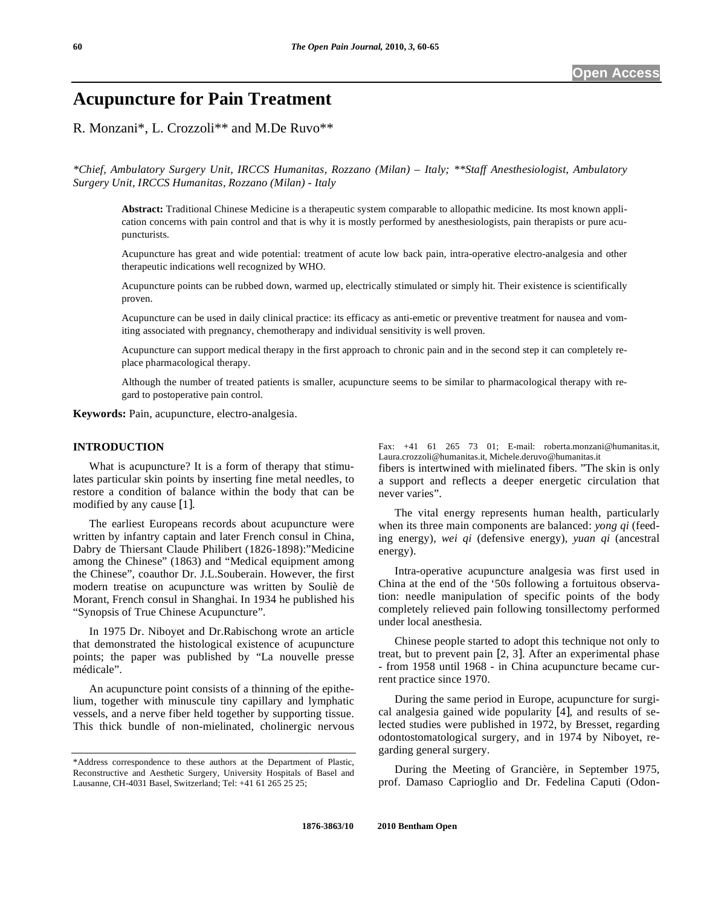# **Acupuncture for Pain Treatment**

R. Monzani\*, L. Crozzoli\*\* and M.De Ruvo\*\*

*\*Chief, Ambulatory Surgery Unit, IRCCS Humanitas, Rozzano (Milan) – Italy; \*\*Staff Anesthesiologist, Ambulatory Surgery Unit, IRCCS Humanitas, Rozzano (Milan) - Italy* 

**Abstract:** Traditional Chinese Medicine is a therapeutic system comparable to allopathic medicine. Its most known application concerns with pain control and that is why it is mostly performed by anesthesiologists, pain therapists or pure acupuncturists.

Acupuncture has great and wide potential: treatment of acute low back pain, intra-operative electro-analgesia and other therapeutic indications well recognized by WHO.

Acupuncture points can be rubbed down, warmed up, electrically stimulated or simply hit. Their existence is scientifically proven.

Acupuncture can be used in daily clinical practice: its efficacy as anti-emetic or preventive treatment for nausea and vomiting associated with pregnancy, chemotherapy and individual sensitivity is well proven.

Acupuncture can support medical therapy in the first approach to chronic pain and in the second step it can completely replace pharmacological therapy.

Although the number of treated patients is smaller, acupuncture seems to be similar to pharmacological therapy with regard to postoperative pain control.

**Keywords:** Pain, acupuncture, electro-analgesia.

#### **INTRODUCTION**

 What is acupuncture? It is a form of therapy that stimulates particular skin points by inserting fine metal needles, to restore a condition of balance within the body that can be modified by any cause [1].

 The earliest Europeans records about acupuncture were written by infantry captain and later French consul in China, Dabry de Thiersant Claude Philibert (1826-1898):"Medicine among the Chinese" (1863) and "Medical equipment among the Chinese", coauthor Dr. J.L.Souberain. However, the first modern treatise on acupuncture was written by Souliè de Morant, French consul in Shanghai. In 1934 he published his "Synopsis of True Chinese Acupuncture".

 In 1975 Dr. Niboyet and Dr.Rabischong wrote an article that demonstrated the histological existence of acupuncture points; the paper was published by "La nouvelle presse médicale".

 An acupuncture point consists of a thinning of the epithelium, together with minuscule tiny capillary and lymphatic vessels, and a nerve fiber held together by supporting tissue. This thick bundle of non-mielinated, cholinergic nervous Fax: +41 61 265 73 01; E-mail: roberta.monzani@humanitas.it, Laura.crozzoli@humanitas.it, Michele.deruvo@humanitas.it

fibers is intertwined with mielinated fibers. "The skin is only a support and reflects a deeper energetic circulation that never varies".

 The vital energy represents human health, particularly when its three main components are balanced: *yong qi* (feeding energy), *wei qi* (defensive energy), *yuan qi* (ancestral energy).

 Intra-operative acupuncture analgesia was first used in China at the end of the '50s following a fortuitous observation: needle manipulation of specific points of the body completely relieved pain following tonsillectomy performed under local anesthesia.

 Chinese people started to adopt this technique not only to treat, but to prevent pain [2, 3]. After an experimental phase - from 1958 until 1968 - in China acupuncture became current practice since 1970.

 During the same period in Europe, acupuncture for surgical analgesia gained wide popularity [4], and results of selected studies were published in 1972, by Bresset, regarding odontostomatological surgery, and in 1974 by Niboyet, regarding general surgery.

 During the Meeting of Grancière, in September 1975, prof. Damaso Caprioglio and Dr. Fedelina Caputi (Odon-

<sup>\*</sup>Address correspondence to these authors at the Department of Plastic, Reconstructive and Aesthetic Surgery, University Hospitals of Basel and Lausanne, CH-4031 Basel, Switzerland; Tel: +41 61 265 25 25;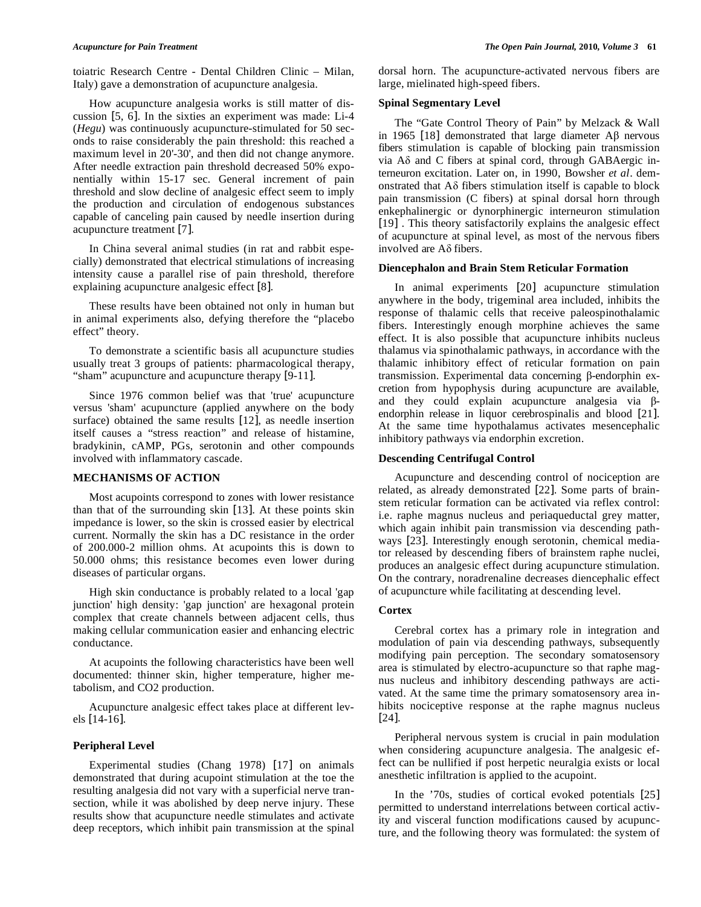toiatric Research Centre - Dental Children Clinic – Milan, Italy) gave a demonstration of acupuncture analgesia.

 How acupuncture analgesia works is still matter of discussion [5, 6]. In the sixties an experiment was made: Li-4 (*Hegu*) was continuously acupuncture-stimulated for 50 seconds to raise considerably the pain threshold: this reached a maximum level in 20'-30', and then did not change anymore. After needle extraction pain threshold decreased 50% exponentially within 15-17 sec. General increment of pain threshold and slow decline of analgesic effect seem to imply the production and circulation of endogenous substances capable of canceling pain caused by needle insertion during acupuncture treatment [7].

 In China several animal studies (in rat and rabbit especially) demonstrated that electrical stimulations of increasing intensity cause a parallel rise of pain threshold, therefore explaining acupuncture analgesic effect [8].

 These results have been obtained not only in human but in animal experiments also, defying therefore the "placebo effect" theory.

 To demonstrate a scientific basis all acupuncture studies usually treat 3 groups of patients: pharmacological therapy, "sham" acupuncture and acupuncture therapy [9-11].

 Since 1976 common belief was that 'true' acupuncture versus 'sham' acupuncture (applied anywhere on the body surface) obtained the same results [12], as needle insertion itself causes a "stress reaction" and release of histamine, bradykinin, cAMP, PGs, serotonin and other compounds involved with inflammatory cascade.

# **MECHANISMS OF ACTION**

 Most acupoints correspond to zones with lower resistance than that of the surrounding skin [13]. At these points skin impedance is lower, so the skin is crossed easier by electrical current. Normally the skin has a DC resistance in the order of 200.000-2 million ohms. At acupoints this is down to 50.000 ohms; this resistance becomes even lower during diseases of particular organs.

 High skin conductance is probably related to a local 'gap junction' high density: 'gap junction' are hexagonal protein complex that create channels between adjacent cells, thus making cellular communication easier and enhancing electric conductance.

 At acupoints the following characteristics have been well documented: thinner skin, higher temperature, higher metabolism, and CO2 production.

 Acupuncture analgesic effect takes place at different levels [14-16].

# **Peripheral Level**

 Experimental studies (Chang 1978) [17] on animals demonstrated that during acupoint stimulation at the toe the resulting analgesia did not vary with a superficial nerve transection, while it was abolished by deep nerve injury. These results show that acupuncture needle stimulates and activate deep receptors, which inhibit pain transmission at the spinal dorsal horn. The acupuncture-activated nervous fibers are large, mielinated high-speed fibers.

# **Spinal Segmentary Level**

 The "Gate Control Theory of Pain" by Melzack & Wall in 1965 [18] demonstrated that large diameter  $\text{A}\beta$  nervous fibers stimulation is capable of blocking pain transmission via  $A\delta$  and C fibers at spinal cord, through GABAergic interneuron excitation. Later on, in 1990, Bowsher *et al*. demonstrated that  $A\delta$  fibers stimulation itself is capable to block pain transmission (C fibers) at spinal dorsal horn through enkephalinergic or dynorphinergic interneuron stimulation [19] . This theory satisfactorily explains the analgesic effect of acupuncture at spinal level, as most of the nervous fibers involved are  $A\delta$  fibers.

#### **Diencephalon and Brain Stem Reticular Formation**

 In animal experiments [20] acupuncture stimulation anywhere in the body, trigeminal area included, inhibits the response of thalamic cells that receive paleospinothalamic fibers. Interestingly enough morphine achieves the same effect. It is also possible that acupuncture inhibits nucleus thalamus via spinothalamic pathways, in accordance with the thalamic inhibitory effect of reticular formation on pain transmission. Experimental data concerning  $\beta$ -endorphin excretion from hypophysis during acupuncture are available, and they could explain acupuncture analgesia via  $\beta$ endorphin release in liquor cerebrospinalis and blood [21]. At the same time hypothalamus activates mesencephalic inhibitory pathways via endorphin excretion.

## **Descending Centrifugal Control**

 Acupuncture and descending control of nociception are related, as already demonstrated [22]. Some parts of brainstem reticular formation can be activated via reflex control: i.e. raphe magnus nucleus and periaqueductal grey matter, which again inhibit pain transmission via descending pathways [23]. Interestingly enough serotonin, chemical mediator released by descending fibers of brainstem raphe nuclei, produces an analgesic effect during acupuncture stimulation. On the contrary, noradrenaline decreases diencephalic effect of acupuncture while facilitating at descending level.

# **Cortex**

 Cerebral cortex has a primary role in integration and modulation of pain via descending pathways, subsequently modifying pain perception. The secondary somatosensory area is stimulated by electro-acupuncture so that raphe magnus nucleus and inhibitory descending pathways are activated. At the same time the primary somatosensory area inhibits nociceptive response at the raphe magnus nucleus [24].

 Peripheral nervous system is crucial in pain modulation when considering acupuncture analgesia. The analgesic effect can be nullified if post herpetic neuralgia exists or local anesthetic infiltration is applied to the acupoint.

 In the '70s, studies of cortical evoked potentials [25] permitted to understand interrelations between cortical activity and visceral function modifications caused by acupuncture, and the following theory was formulated: the system of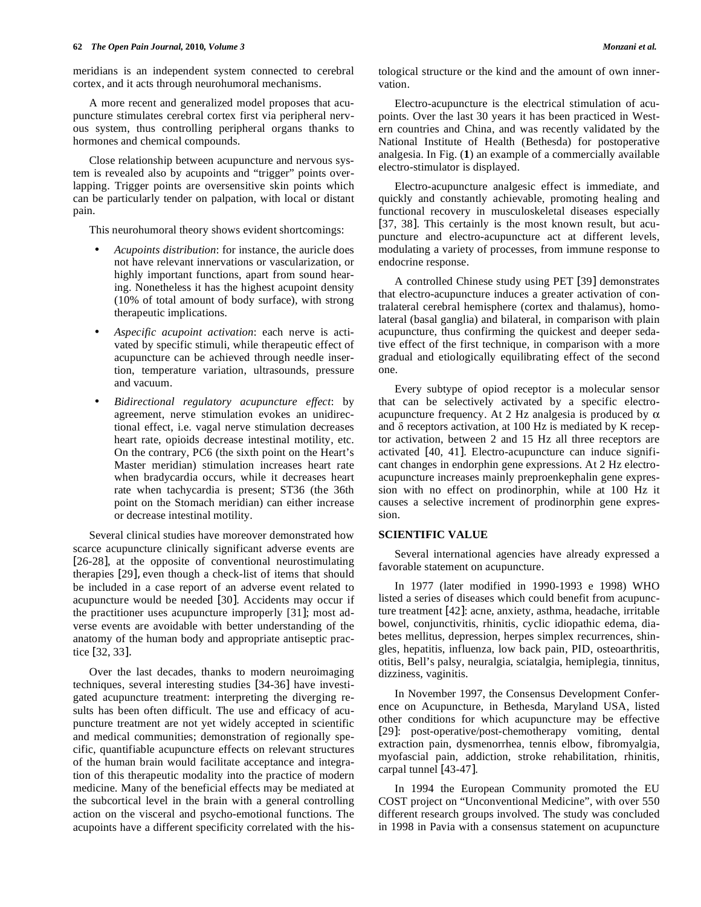meridians is an independent system connected to cerebral cortex, and it acts through neurohumoral mechanisms.

 A more recent and generalized model proposes that acupuncture stimulates cerebral cortex first via peripheral nervous system, thus controlling peripheral organs thanks to hormones and chemical compounds.

 Close relationship between acupuncture and nervous system is revealed also by acupoints and "trigger" points overlapping. Trigger points are oversensitive skin points which can be particularly tender on palpation, with local or distant pain.

This neurohumoral theory shows evident shortcomings:

- *Acupoints distribution*: for instance, the auricle does not have relevant innervations or vascularization, or highly important functions, apart from sound hearing. Nonetheless it has the highest acupoint density (10% of total amount of body surface), with strong therapeutic implications.
- *Aspecific acupoint activation*: each nerve is activated by specific stimuli, while therapeutic effect of acupuncture can be achieved through needle insertion, temperature variation, ultrasounds, pressure and vacuum.
- *Bidirectional regulatory acupuncture effect*: by agreement, nerve stimulation evokes an unidirectional effect, i.e. vagal nerve stimulation decreases heart rate, opioids decrease intestinal motility, etc. On the contrary, PC6 (the sixth point on the Heart's Master meridian) stimulation increases heart rate when bradycardia occurs, while it decreases heart rate when tachycardia is present; ST36 (the 36th point on the Stomach meridian) can either increase or decrease intestinal motility.

 Several clinical studies have moreover demonstrated how scarce acupuncture clinically significant adverse events are [26-28], at the opposite of conventional neurostimulating therapies [29], even though a check-list of items that should be included in a case report of an adverse event related to acupuncture would be needed [30]. Accidents may occur if the practitioner uses acupuncture improperly [31]; most adverse events are avoidable with better understanding of the anatomy of the human body and appropriate antiseptic practice [32, 33].

 Over the last decades, thanks to modern neuroimaging techniques, several interesting studies [34-36] have investigated acupuncture treatment: interpreting the diverging results has been often difficult. The use and efficacy of acupuncture treatment are not yet widely accepted in scientific and medical communities; demonstration of regionally specific, quantifiable acupuncture effects on relevant structures of the human brain would facilitate acceptance and integration of this therapeutic modality into the practice of modern medicine. Many of the beneficial effects may be mediated at the subcortical level in the brain with a general controlling action on the visceral and psycho-emotional functions. The acupoints have a different specificity correlated with the histological structure or the kind and the amount of own innervation.

 Electro-acupuncture is the electrical stimulation of acupoints. Over the last 30 years it has been practiced in Western countries and China, and was recently validated by the National Institute of Health (Bethesda) for postoperative analgesia. In Fig. (**1**) an example of a commercially available electro-stimulator is displayed.

 Electro-acupuncture analgesic effect is immediate, and quickly and constantly achievable, promoting healing and functional recovery in musculoskeletal diseases especially [37, 38]. This certainly is the most known result, but acupuncture and electro-acupuncture act at different levels, modulating a variety of processes, from immune response to endocrine response.

 A controlled Chinese study using PET [39] demonstrates that electro-acupuncture induces a greater activation of contralateral cerebral hemisphere (cortex and thalamus), homolateral (basal ganglia) and bilateral, in comparison with plain acupuncture, thus confirming the quickest and deeper sedative effect of the first technique, in comparison with a more gradual and etiologically equilibrating effect of the second one.

 Every subtype of opiod receptor is a molecular sensor that can be selectively activated by a specific electroacupuncture frequency. At 2 Hz analgesia is produced by  $\alpha$ and  $\delta$  receptors activation, at 100 Hz is mediated by K receptor activation, between 2 and 15 Hz all three receptors are activated [40, 41]. Electro-acupuncture can induce significant changes in endorphin gene expressions. At 2 Hz electroacupuncture increases mainly preproenkephalin gene expression with no effect on prodinorphin, while at 100 Hz it causes a selective increment of prodinorphin gene expression.

# **SCIENTIFIC VALUE**

 Several international agencies have already expressed a favorable statement on acupuncture.

 In 1977 (later modified in 1990-1993 e 1998) WHO listed a series of diseases which could benefit from acupuncture treatment [42]: acne, anxiety, asthma, headache, irritable bowel, conjunctivitis, rhinitis, cyclic idiopathic edema, diabetes mellitus, depression, herpes simplex recurrences, shingles, hepatitis, influenza, low back pain, PID, osteoarthritis, otitis, Bell's palsy, neuralgia, sciatalgia, hemiplegia, tinnitus, dizziness, vaginitis.

 In November 1997, the Consensus Development Conference on Acupuncture, in Bethesda, Maryland USA, listed other conditions for which acupuncture may be effective [29]: post-operative/post-chemotherapy vomiting, dental extraction pain, dysmenorrhea, tennis elbow, fibromyalgia, myofascial pain, addiction, stroke rehabilitation, rhinitis, carpal tunnel [43-47].

 In 1994 the European Community promoted the EU COST project on "Unconventional Medicine", with over 550 different research groups involved. The study was concluded in 1998 in Pavia with a consensus statement on acupuncture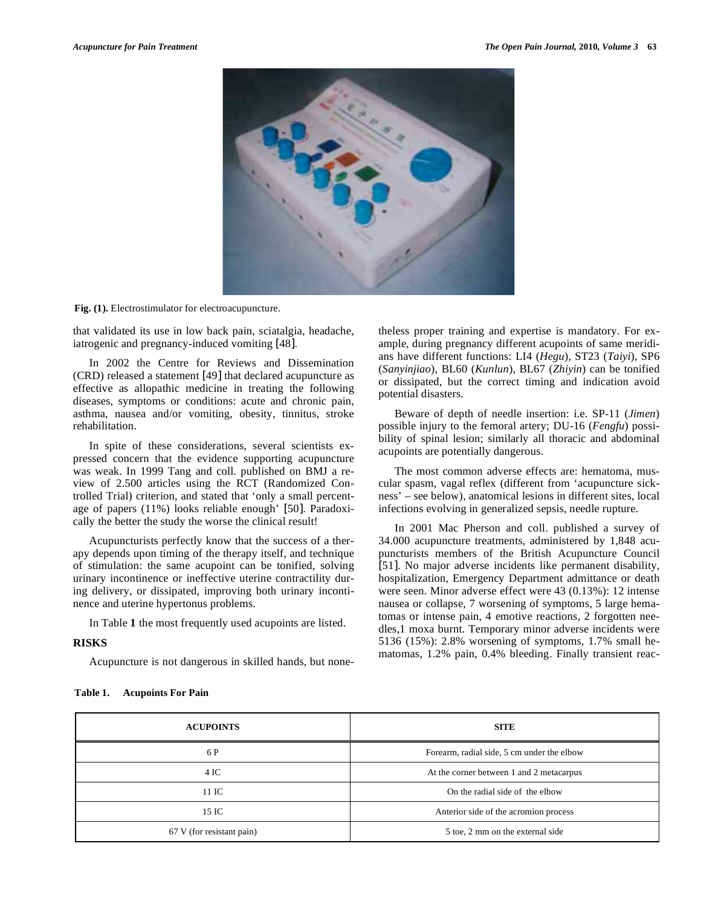

**Fig. (1).** Electrostimulator for electroacupuncture.

that validated its use in low back pain, sciatalgia, headache, iatrogenic and pregnancy-induced vomiting [48].

 In 2002 the Centre for Reviews and Dissemination (CRD) released a statement [49] that declared acupuncture as effective as allopathic medicine in treating the following diseases, symptoms or conditions: acute and chronic pain, asthma, nausea and/or vomiting, obesity, tinnitus, stroke rehabilitation.

 In spite of these considerations, several scientists expressed concern that the evidence supporting acupuncture was weak. In 1999 Tang and coll. published on BMJ a review of 2.500 articles using the RCT (Randomized Controlled Trial) criterion, and stated that 'only a small percentage of papers (11%) looks reliable enough' [50]. Paradoxically the better the study the worse the clinical result!

 Acupuncturists perfectly know that the success of a therapy depends upon timing of the therapy itself, and technique of stimulation: the same acupoint can be tonified, solving urinary incontinence or ineffective uterine contractility during delivery, or dissipated, improving both urinary incontinence and uterine hypertonus problems.

In Table **1** the most frequently used acupoints are listed.

# **RISKS**

Acupuncture is not dangerous in skilled hands, but none-

theless proper training and expertise is mandatory. For example, during pregnancy different acupoints of same meridians have different functions: LI4 (*Hegu*), ST23 (*Taiyi*), SP6 (*Sanyinjiao*), BL60 (*Kunlun*), BL67 (*Zhiyin*) can be tonified or dissipated, but the correct timing and indication avoid potential disasters.

 Beware of depth of needle insertion: i.e. SP-11 (*Jimen*) possible injury to the femoral artery; DU-16 (*Fengfu*) possibility of spinal lesion; similarly all thoracic and abdominal acupoints are potentially dangerous.

 The most common adverse effects are: hematoma, muscular spasm, vagal reflex (different from 'acupuncture sickness' – see below), anatomical lesions in different sites, local infections evolving in generalized sepsis, needle rupture.

 In 2001 Mac Pherson and coll. published a survey of 34.000 acupuncture treatments, administered by 1,848 acupuncturists members of the British Acupuncture Council [51]. No major adverse incidents like permanent disability, hospitalization, Emergency Department admittance or death were seen. Minor adverse effect were 43 (0.13%): 12 intense nausea or collapse, 7 worsening of symptoms, 5 large hematomas or intense pain, 4 emotive reactions, 2 forgotten needles,1 moxa burnt. Temporary minor adverse incidents were 5136 (15%): 2.8% worsening of symptoms, 1.7% small hematomas, 1.2% pain, 0.4% bleeding. Finally transient reac-

| <b>ACUPOINTS</b>          | <b>SITE</b>                                |
|---------------------------|--------------------------------------------|
| 6 P                       | Forearm, radial side, 5 cm under the elbow |
| 4 IC                      | At the corner between 1 and 2 metacarpus   |
| 11 IC                     | On the radial side of the elbow            |
| 15 IC                     | Anterior side of the acromion process      |
| 67 V (for resistant pain) | 5 toe, 2 mm on the external side           |

#### **Table 1. Acupoints For Pain**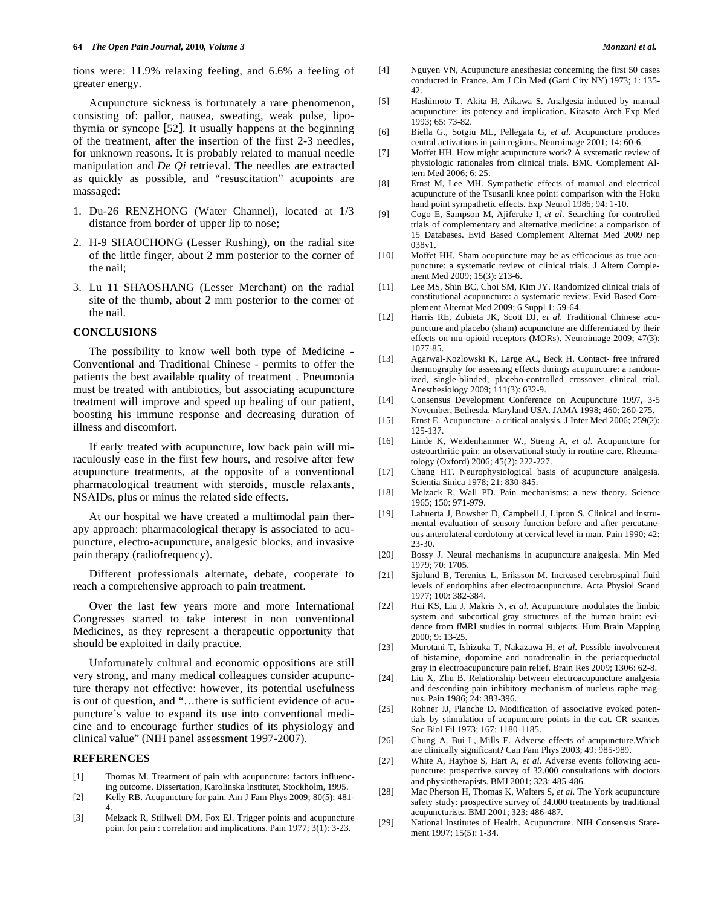tions were: 11.9% relaxing feeling, and 6.6% a feeling of greater energy.

 Acupuncture sickness is fortunately a rare phenomenon, consisting of: pallor, nausea, sweating, weak pulse, lipothymia or syncope [52]. It usually happens at the beginning of the treatment, after the insertion of the first 2-3 needles, for unknown reasons. It is probably related to manual needle manipulation and *De Qi* retrieval. The needles are extracted as quickly as possible, and "resuscitation" acupoints are massaged:

- 1. Du-26 RENZHONG (Water Channel), located at 1/3 distance from border of upper lip to nose;
- 2. H-9 SHAOCHONG (Lesser Rushing), on the radial site of the little finger, about 2 mm posterior to the corner of the nail;
- 3. Lu 11 SHAOSHANG (Lesser Merchant) on the radial site of the thumb, about 2 mm posterior to the corner of the nail.

## **CONCLUSIONS**

 The possibility to know well both type of Medicine - Conventional and Traditional Chinese - permits to offer the patients the best available quality of treatment . Pneumonia must be treated with antibiotics, but associating acupuncture treatment will improve and speed up healing of our patient, boosting his immune response and decreasing duration of illness and discomfort.

 If early treated with acupuncture, low back pain will miraculously ease in the first few hours, and resolve after few acupuncture treatments, at the opposite of a conventional pharmacological treatment with steroids, muscle relaxants, NSAIDs, plus or minus the related side effects.

 At our hospital we have created a multimodal pain therapy approach: pharmacological therapy is associated to acupuncture, electro-acupuncture, analgesic blocks, and invasive pain therapy (radiofrequency).

 Different professionals alternate, debate, cooperate to reach a comprehensive approach to pain treatment.

 Over the last few years more and more International Congresses started to take interest in non conventional Medicines, as they represent a therapeutic opportunity that should be exploited in daily practice.

 Unfortunately cultural and economic oppositions are still very strong, and many medical colleagues consider acupuncture therapy not effective: however, its potential usefulness is out of question, and "…there is sufficient evidence of acupuncture's value to expand its use into conventional medicine and to encourage further studies of its physiology and clinical value" (NIH panel assessment 1997-2007).

#### **REFERENCES**

- [1] Thomas M. Treatment of pain with acupuncture: factors influencing outcome. Dissertation, Karolinska lnstitutet, Stockholm, 1995.
- [2] Kelly RB. Acupuncture for pain. Am J Fam Phys 2009; 80(5): 481- 4.
- [3] Melzack R, Stillwell DM, Fox EJ. Trigger points and acupuncture point for pain : correlation and implications. Pain 1977; 3(1): 3-23.
- [4] Nguyen VN, Acupuncture anesthesia: concerning the first 50 cases conducted in France. Am J Cin Med (Gard City NY) 1973; 1: 135- 42.
- [5] Hashimoto T, Akita H, Aikawa S. Analgesia induced by manual acupuncture: its potency and implication. Kitasato Arch Exp Med 1993; 65: 73-82.
- [6] Biella G., Sotgiu ML, Pellegata G, *et al*. Acupuncture produces central activations in pain regions. Neuroimage 2001; 14: 60-6.
- [7] Moffet HH. How might acupuncture work? A systematic review of physiologic rationales from clinical trials. BMC Complement Altern Med 2006; 6: 25.
- [8] Ernst M, Lee MH. Sympathetic effects of manual and electrical acupuncture of the Tsusanli knee point: comparison with the Hoku hand point sympathetic effects. Exp Neurol 1986; 94: 1-10.
- [9] Cogo E, Sampson M, Ajiferuke I, *et al*. Searching for controlled trials of complementary and alternative medicine: a comparison of 15 Databases. Evid Based Complement Alternat Med 2009 nep 038v1.
- [10] Moffet HH. Sham acupuncture may be as efficacious as true acupuncture: a systematic review of clinical trials. J Altern Complement Med 2009; 15(3): 213-6.
- [11] Lee MS, Shin BC, Choi SM, Kim JY. Randomized clinical trials of constitutional acupuncture: a systematic review. Evid Based Complement Alternat Med 2009; 6 Suppl 1: 59-64.
- [12] Harris RE, Zubieta JK, Scott DJ, *et al*. Traditional Chinese acupuncture and placebo (sham) acupuncture are differentiated by their effects on mu-opioid receptors (MORs). Neuroimage 2009; 47(3): 1077-85.
- [13] Agarwal-Kozlowski K, Large AC, Beck H. Contact- free infrared thermography for assessing effects durings acupuncture: a randomized, single-blinded, placebo-controlled crossover clinical trial. Anesthesiology 2009; 111(3): 632-9.
- [14] Consensus Development Conference on Acupuncture 1997, 3-5 November, Bethesda, Maryland USA. JAMA 1998; 460: 260-275.
- [15] Ernst E. Acupuncture- a critical analysis. J Inter Med 2006; 259(2): 125-137.
- [16] Linde K, Weidenhammer W., Streng A, *et al*. Acupuncture for osteoarthritic pain: an observational study in routine care. Rheumatology (Oxford) 2006; 45(2): 222-227.
- [17] Chang HT. Neurophysiological basis of acupuncture analgesia. Scientia Sinica 1978; 21: 830-845.
- [18] Melzack R, Wall PD. Pain mechanisms: a new theory. Science 1965; 150: 971-979.
- [19] Lahuerta J, Bowsher D, Campbell J, Lipton S. Clinical and instrumental evaluation of sensory function before and after percutaneous anterolateral cordotomy at cervical level in man. Pain 1990; 42: 23-30.
- [20] Bossy J. Neural mechanisms in acupuncture analgesia. Min Med 1979; 70: 1705.
- [21] Sjolund B, Terenius L, Eriksson M. Increased cerebrospinal fluid levels of endorphins after electroacupuncture. Acta Physiol Scand 1977; 100: 382-384.
- [22] Hui KS, Liu J, Makris N, *et al*. Acupuncture modulates the limbic system and subcortical gray structures of the human brain: evidence from fMRI studies in normal subjects. Hum Brain Mapping 2000; 9: 13-25.
- [23] Murotani T, Ishizuka T, Nakazawa H, *et al*. Possible involvement of histamine, dopamine and noradrenalin in the periacqueductal gray in electroacupuncture pain relief. Brain Res 2009; 1306: 62-8.
- [24] Liu X, Zhu B. Relationship between electroacupuncture analgesia and descending pain inhibitory mechanism of nucleus raphe magnus. Pain 1986; 24: 383-396.
- [25] Rohner JJ, Planche D. Modification of associative evoked potentials by stimulation of acupuncture points in the cat. CR seances Soc Biol Fil 1973; 167: 1180-1185.
- [26] Chung A, Bui L, Mills E. Adverse effects of acupuncture. Which are clinically significant? Can Fam Phys 2003; 49: 985-989.
- [27] White A, Hayhoe S, Hart A, *et al*. Adverse events following acupuncture: prospective survey of 32.000 consultations with doctors and physiotherapists. BMJ 2001; 323: 485-486.
- [28] Mac Pherson H, Thomas K, Walters S, *et al*. The York acupuncture safety study: prospective survey of 34.000 treatments by traditional acupuncturists. BMJ 2001; 323: 486-487.
- [29] National Institutes of Health. Acupuncture. NIH Consensus Statement 1997; 15(5): 1-34.